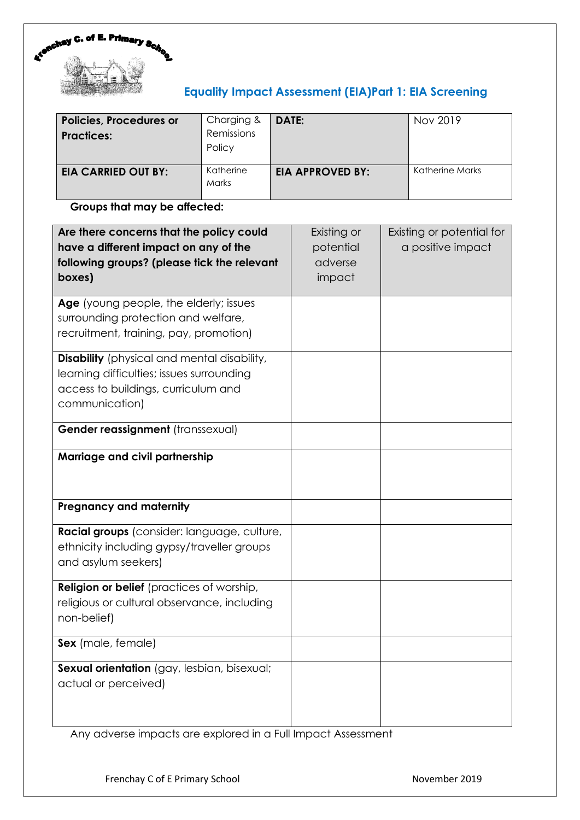

# **Equality Impact Assessment (EIA)Part 1: EIA Screening**

| <b>Policies, Procedures or</b><br><b>Practices:</b> | Charging &<br>Remissions<br>Policy | DATE:                   | Nov 2019        |
|-----------------------------------------------------|------------------------------------|-------------------------|-----------------|
| <b>EIA CARRIED OUT BY:</b>                          | Katherine<br><b>Marks</b>          | <b>EIA APPROVED BY:</b> | Katherine Marks |

# **Groups that may be affected:**

| Are there concerns that the policy could<br>have a different impact on any of the<br>following groups? (please tick the relevant<br>boxes)               | Existing or<br>potential<br>adverse<br>impact | Existing or potential for<br>a positive impact |
|----------------------------------------------------------------------------------------------------------------------------------------------------------|-----------------------------------------------|------------------------------------------------|
| Age (young people, the elderly; issues<br>surrounding protection and welfare,<br>recruitment, training, pay, promotion)                                  |                                               |                                                |
| <b>Disability</b> (physical and mental disability,<br>learning difficulties; issues surrounding<br>access to buildings, curriculum and<br>communication) |                                               |                                                |
| Gender reassignment (transsexual)                                                                                                                        |                                               |                                                |
| Marriage and civil partnership                                                                                                                           |                                               |                                                |
| <b>Pregnancy and maternity</b>                                                                                                                           |                                               |                                                |
| Racial groups (consider: language, culture,<br>ethnicity including gypsy/traveller groups<br>and asylum seekers)                                         |                                               |                                                |
| <b>Religion or belief</b> (practices of worship,<br>religious or cultural observance, including<br>non-belief)                                           |                                               |                                                |
| Sex (male, female)                                                                                                                                       |                                               |                                                |
| Sexual orientation (gay, lesbian, bisexual;<br>actual or perceived)                                                                                      |                                               |                                                |

Any adverse impacts are explored in a Full Impact Assessment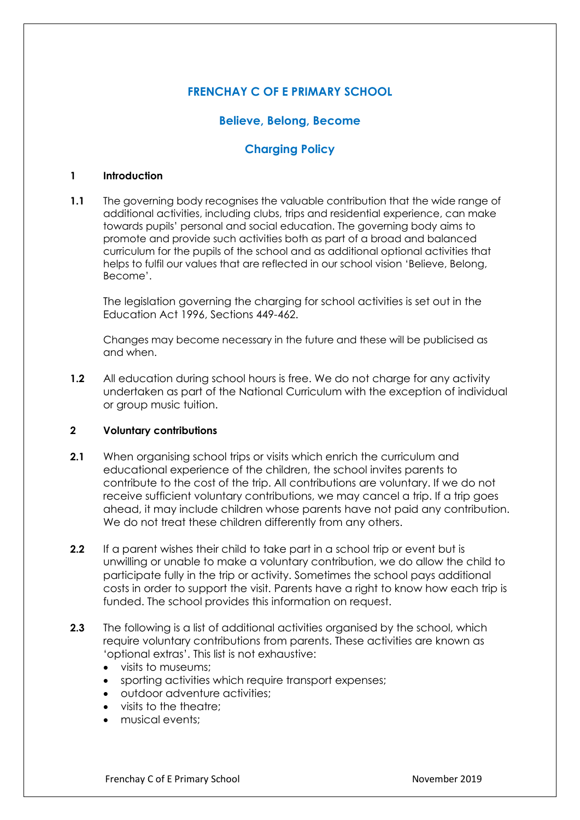# **FRENCHAY C OF E PRIMARY SCHOOL**

# **Believe, Belong, Become**

# **Charging Policy**

#### **1 Introduction**

**1.1** The governing body recognises the valuable contribution that the wide range of additional activities, including clubs, trips and residential experience, can make towards pupils' personal and social education. The governing body aims to promote and provide such activities both as part of a broad and balanced curriculum for the pupils of the school and as additional optional activities that helps to fulfil our values that are reflected in our school vision 'Believe, Belong, Become'.

The legislation governing the charging for school activities is set out in the Education Act 1996, Sections 449-462.

Changes may become necessary in the future and these will be publicised as and when.

**1.2** All education during school hours is free. We do not charge for any activity undertaken as part of the National Curriculum with the exception of individual or group music tuition.

#### **2 Voluntary contributions**

- **2.1** When organising school trips or visits which enrich the curriculum and educational experience of the children, the school invites parents to contribute to the cost of the trip. All contributions are voluntary. If we do not receive sufficient voluntary contributions, we may cancel a trip. If a trip goes ahead, it may include children whose parents have not paid any contribution. We do not treat these children differently from any others.
- **2.2** If a parent wishes their child to take part in a school trip or event but is unwilling or unable to make a voluntary contribution, we do allow the child to participate fully in the trip or activity. Sometimes the school pays additional costs in order to support the visit. Parents have a right to know how each trip is funded. The school provides this information on request.
- **2.3** The following is a list of additional activities organised by the school, which require voluntary contributions from parents. These activities are known as 'optional extras'. This list is not exhaustive:
	- visits to museums;
	- sporting activities which require transport expenses;
	- outdoor adventure activities;
	- visits to the theatre:
	- musical events: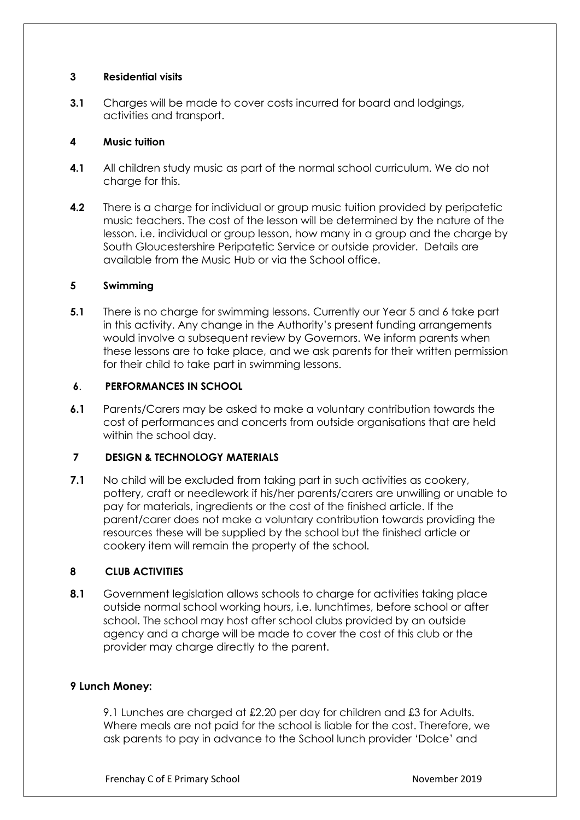### **3 Residential visits**

**3.1** Charges will be made to cover costs incurred for board and lodgings, activities and transport.

### **4 Music tuition**

- **4.1** All children study music as part of the normal school curriculum. We do not charge for this.
- **4.2** There is a charge for individual or group music tuition provided by peripatetic music teachers. The cost of the lesson will be determined by the nature of the lesson. i.e. individual or group lesson, how many in a group and the charge by South Gloucestershire Peripatetic Service or outside provider. Details are available from the Music Hub or via the School office.

### **5 Swimming**

**5.1** There is no charge for swimming lessons. Currently our Year 5 and 6 take part in this activity. Any change in the Authority's present funding arrangements would involve a subsequent review by Governors. We inform parents when these lessons are to take place, and we ask parents for their written permission for their child to take part in swimming lessons.

# **6**. **PERFORMANCES IN SCHOOL**

**6.1** Parents/Carers may be asked to make a voluntary contribution towards the cost of performances and concerts from outside organisations that are held within the school day.

# **7 DESIGN & TECHNOLOGY MATERIALS**

**7.1** No child will be excluded from taking part in such activities as cookery, pottery, craft or needlework if his/her parents/carers are unwilling or unable to pay for materials, ingredients or the cost of the finished article. If the parent/carer does not make a voluntary contribution towards providing the resources these will be supplied by the school but the finished article or cookery item will remain the property of the school.

# **8 CLUB ACTIVITIES**

**8.1** Government legislation allows schools to charge for activities taking place outside normal school working hours, i.e. lunchtimes, before school or after school. The school may host after school clubs provided by an outside agency and a charge will be made to cover the cost of this club or the provider may charge directly to the parent.

#### **9 Lunch Money:**

9.1 Lunches are charged at £2.20 per day for children and £3 for Adults. Where meals are not paid for the school is liable for the cost. Therefore, we ask parents to pay in advance to the School lunch provider 'Dolce' and